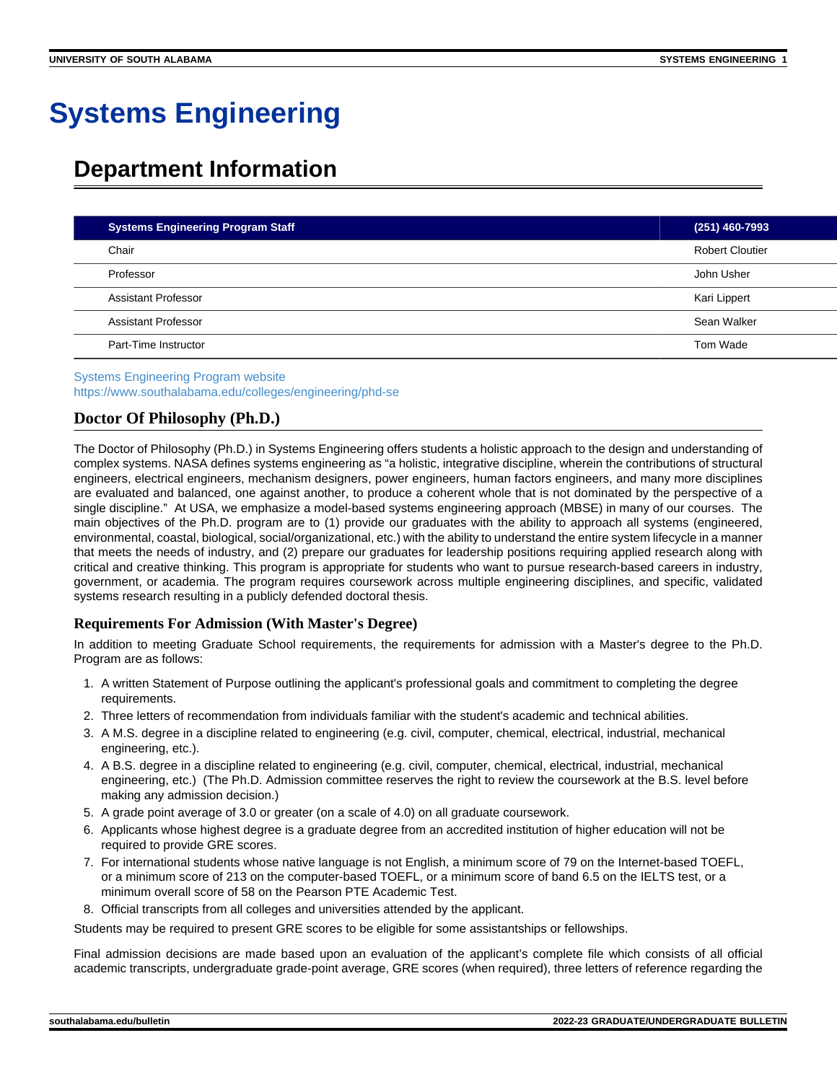# **Systems Engineering**

## **Department Information**

| <b>Systems Engineering Program Staff</b> | $(251)$ 460-7993       |
|------------------------------------------|------------------------|
| Chair                                    | <b>Robert Cloutier</b> |
| Professor                                | John Usher             |
| Assistant Professor                      | Kari Lippert           |
| Assistant Professor                      | Sean Walker            |
| Part-Time Instructor                     | Tom Wade               |

[Systems Engineering Program website](https://www.southalabama.edu/colleges/engineering/phd-se) <https://www.southalabama.edu/colleges/engineering/phd-se>

## **Doctor Of Philosophy (Ph.D.)**

The Doctor of Philosophy (Ph.D.) in Systems Engineering offers students a holistic approach to the design and understanding of complex systems. NASA defines systems engineering as "a holistic, integrative discipline, wherein the contributions of structural engineers, electrical engineers, mechanism designers, power engineers, human factors engineers, and many more disciplines are evaluated and balanced, one against another, to produce a coherent whole that is not dominated by the perspective of a single discipline." At USA, we emphasize a model-based systems engineering approach (MBSE) in many of our courses. The main objectives of the Ph.D. program are to (1) provide our graduates with the ability to approach all systems (engineered, environmental, coastal, biological, social/organizational, etc.) with the ability to understand the entire system lifecycle in a manner that meets the needs of industry, and (2) prepare our graduates for leadership positions requiring applied research along with critical and creative thinking. This program is appropriate for students who want to pursue research-based careers in industry, government, or academia. The program requires coursework across multiple engineering disciplines, and specific, validated systems research resulting in a publicly defended doctoral thesis.

### **Requirements For Admission (With Master's Degree)**

In addition to meeting Graduate School requirements, the requirements for admission with a Master's degree to the Ph.D. Program are as follows:

- 1. A written Statement of Purpose outlining the applicant's professional goals and commitment to completing the degree requirements.
- 2. Three letters of recommendation from individuals familiar with the student's academic and technical abilities.
- 3. A M.S. degree in a discipline related to engineering (e.g. civil, computer, chemical, electrical, industrial, mechanical engineering, etc.).
- 4. A B.S. degree in a discipline related to engineering (e.g. civil, computer, chemical, electrical, industrial, mechanical engineering, etc.) (The Ph.D. Admission committee reserves the right to review the coursework at the B.S. level before making any admission decision.)
- 5. A grade point average of 3.0 or greater (on a scale of 4.0) on all graduate coursework.
- 6. Applicants whose highest degree is a graduate degree from an accredited institution of higher education will not be required to provide GRE scores.
- 7. For international students whose native language is not English, a minimum score of 79 on the Internet-based TOEFL, or a minimum score of 213 on the computer-based TOEFL, or a minimum score of band 6.5 on the IELTS test, or a minimum overall score of 58 on the Pearson PTE Academic Test.
- 8. Official transcripts from all colleges and universities attended by the applicant.

Students may be required to present GRE scores to be eligible for some assistantships or fellowships.

Final admission decisions are made based upon an evaluation of the applicant's complete file which consists of all official academic transcripts, undergraduate grade-point average, GRE scores (when required), three letters of reference regarding the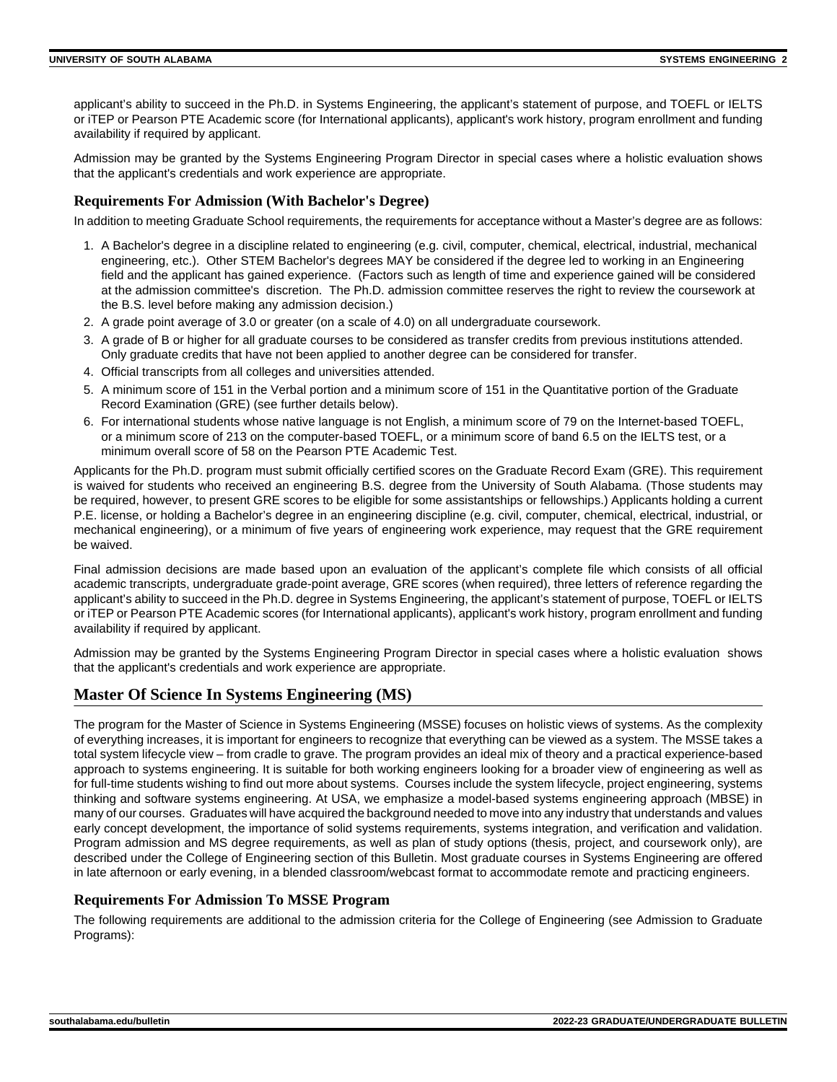applicant's ability to succeed in the Ph.D. in Systems Engineering, the applicant's statement of purpose, and TOEFL or IELTS or iTEP or Pearson PTE Academic score (for International applicants), applicant's work history, program enrollment and funding availability if required by applicant.

Admission may be granted by the Systems Engineering Program Director in special cases where a holistic evaluation shows that the applicant's credentials and work experience are appropriate.

#### **Requirements For Admission (With Bachelor's Degree)**

In addition to meeting Graduate School requirements, the requirements for acceptance without a Master's degree are as follows:

- 1. A Bachelor's degree in a discipline related to engineering (e.g. civil, computer, chemical, electrical, industrial, mechanical engineering, etc.). Other STEM Bachelor's degrees MAY be considered if the degree led to working in an Engineering field and the applicant has gained experience. (Factors such as length of time and experience gained will be considered at the admission committee's discretion. The Ph.D. admission committee reserves the right to review the coursework at the B.S. level before making any admission decision.)
- 2. A grade point average of 3.0 or greater (on a scale of 4.0) on all undergraduate coursework.
- 3. A grade of B or higher for all graduate courses to be considered as transfer credits from previous institutions attended. Only graduate credits that have not been applied to another degree can be considered for transfer.
- 4. Official transcripts from all colleges and universities attended.
- 5. A minimum score of 151 in the Verbal portion and a minimum score of 151 in the Quantitative portion of the Graduate Record Examination (GRE) (see further details below).
- 6. For international students whose native language is not English, a minimum score of 79 on the Internet-based TOEFL, or a minimum score of 213 on the computer-based TOEFL, or a minimum score of band 6.5 on the IELTS test, or a minimum overall score of 58 on the Pearson PTE Academic Test.

Applicants for the Ph.D. program must submit officially certified scores on the Graduate Record Exam (GRE). This requirement is waived for students who received an engineering B.S. degree from the University of South Alabama. (Those students may be required, however, to present GRE scores to be eligible for some assistantships or fellowships.) Applicants holding a current P.E. license, or holding a Bachelor's degree in an engineering discipline (e.g. civil, computer, chemical, electrical, industrial, or mechanical engineering), or a minimum of five years of engineering work experience, may request that the GRE requirement be waived.

Final admission decisions are made based upon an evaluation of the applicant's complete file which consists of all official academic transcripts, undergraduate grade-point average, GRE scores (when required), three letters of reference regarding the applicant's ability to succeed in the Ph.D. degree in Systems Engineering, the applicant's statement of purpose, TOEFL or IELTS or iTEP or Pearson PTE Academic scores (for International applicants), applicant's work history, program enrollment and funding availability if required by applicant.

Admission may be granted by the Systems Engineering Program Director in special cases where a holistic evaluation shows that the applicant's credentials and work experience are appropriate.

## **Master Of Science In Systems Engineering (MS)**

The program for the Master of Science in Systems Engineering (MSSE) focuses on holistic views of systems. As the complexity of everything increases, it is important for engineers to recognize that everything can be viewed as a system. The MSSE takes a total system lifecycle view – from cradle to grave. The program provides an ideal mix of theory and a practical experience-based approach to systems engineering. It is suitable for both working engineers looking for a broader view of engineering as well as for full-time students wishing to find out more about systems. Courses include the system lifecycle, project engineering, systems thinking and software systems engineering. At USA, we emphasize a model-based systems engineering approach (MBSE) in many of our courses. Graduates will have acquired the background needed to move into any industry that understands and values early concept development, the importance of solid systems requirements, systems integration, and verification and validation. Program admission and MS degree requirements, as well as plan of study options (thesis, project, and coursework only), are described under the College of Engineering section of this Bulletin. Most graduate courses in Systems Engineering are offered in late afternoon or early evening, in a blended classroom/webcast format to accommodate remote and practicing engineers.

### **Requirements For Admission To MSSE Program**

The following requirements are additional to the admission criteria for the College of Engineering (see Admission to Graduate Programs):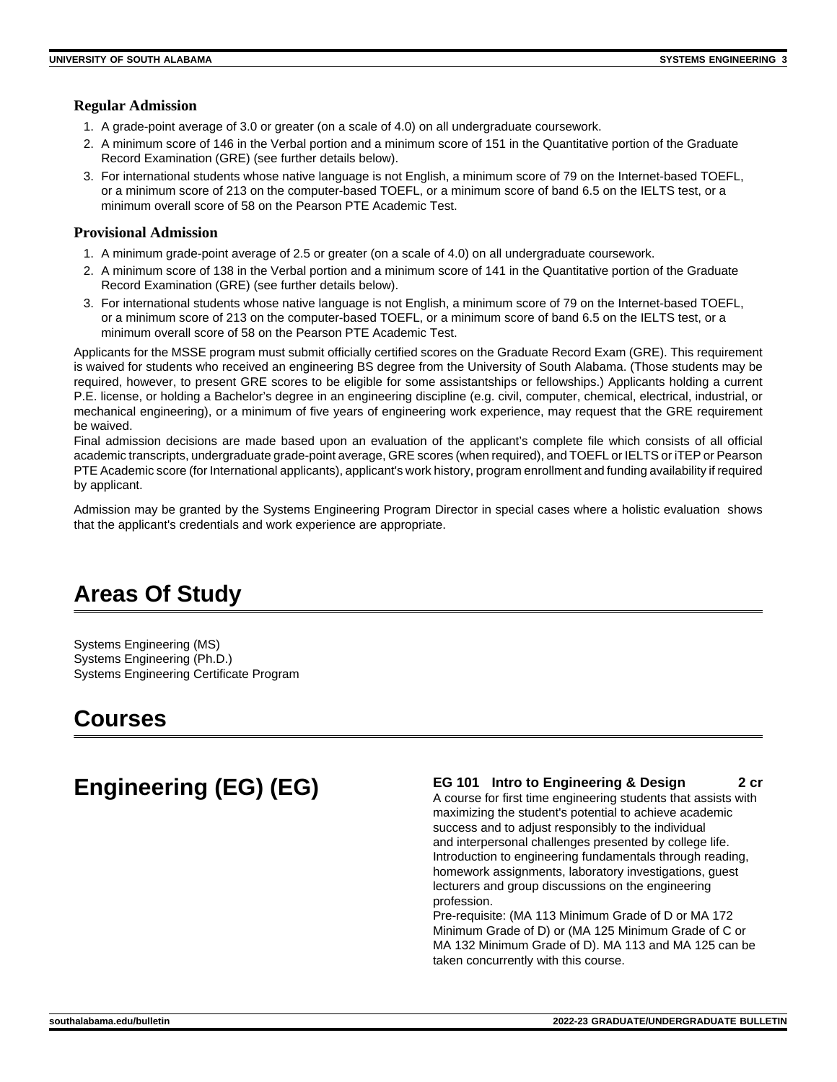### **Regular Admission**

- 1. A grade-point average of 3.0 or greater (on a scale of 4.0) on all undergraduate coursework.
- 2. A minimum score of 146 in the Verbal portion and a minimum score of 151 in the Quantitative portion of the Graduate Record Examination (GRE) (see further details below).
- 3. For international students whose native language is not English, a minimum score of 79 on the Internet-based TOEFL, or a minimum score of 213 on the computer-based TOEFL, or a minimum score of band 6.5 on the IELTS test, or a minimum overall score of 58 on the Pearson PTE Academic Test.

### **Provisional Admission**

- 1. A minimum grade-point average of 2.5 or greater (on a scale of 4.0) on all undergraduate coursework.
- 2. A minimum score of 138 in the Verbal portion and a minimum score of 141 in the Quantitative portion of the Graduate Record Examination (GRE) (see further details below).
- 3. For international students whose native language is not English, a minimum score of 79 on the Internet-based TOEFL, or a minimum score of 213 on the computer-based TOEFL, or a minimum score of band 6.5 on the IELTS test, or a minimum overall score of 58 on the Pearson PTE Academic Test.

Applicants for the MSSE program must submit officially certified scores on the Graduate Record Exam (GRE). This requirement is waived for students who received an engineering BS degree from the University of South Alabama. (Those students may be required, however, to present GRE scores to be eligible for some assistantships or fellowships.) Applicants holding a current P.E. license, or holding a Bachelor's degree in an engineering discipline (e.g. civil, computer, chemical, electrical, industrial, or mechanical engineering), or a minimum of five years of engineering work experience, may request that the GRE requirement be waived.

Final admission decisions are made based upon an evaluation of the applicant's complete file which consists of all official academic transcripts, undergraduate grade-point average, GRE scores (when required), and TOEFL or IELTS or iTEP or Pearson PTE Academic score (for International applicants), applicant's work history, program enrollment and funding availability if required by applicant.

Admission may be granted by the Systems Engineering Program Director in special cases where a holistic evaluation shows that the applicant's credentials and work experience are appropriate.

## **Areas Of Study**

Systems Engineering (MS) Systems Engineering (Ph.D.) Systems Engineering Certificate Program

## **Courses**

## **Engineering (EG) (EG) EG 101 Intro to Engineering & Design 2 cr**  $\frac{2 \text{ cr}}{2 \text{ cr}}$

A course for first time engineering students that assists with maximizing the student's potential to achieve academic success and to adjust responsibly to the individual and interpersonal challenges presented by college life. Introduction to engineering fundamentals through reading, homework assignments, laboratory investigations, guest lecturers and group discussions on the engineering profession.

Pre-requisite: (MA 113 Minimum Grade of D or MA 172 Minimum Grade of D) or (MA 125 Minimum Grade of C or MA 132 Minimum Grade of D). MA 113 and MA 125 can be taken concurrently with this course.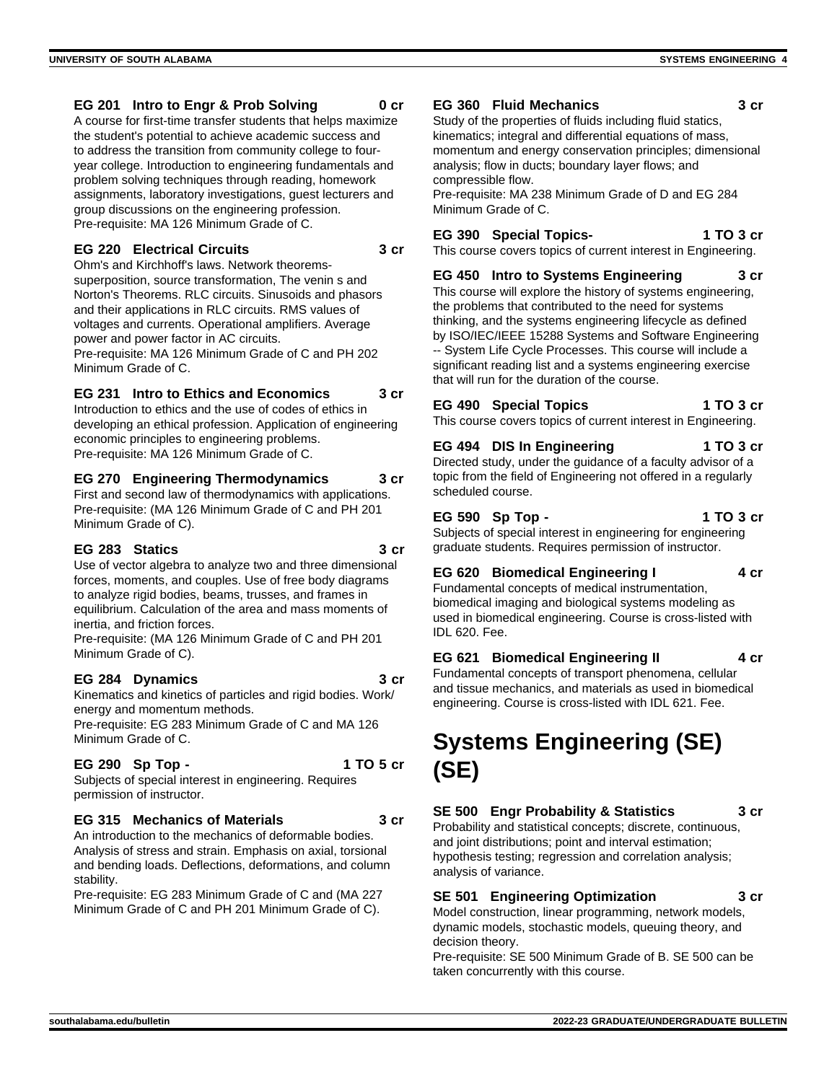### **EG 201 Intro to Engr & Prob Solving 0 cr**

A course for first-time transfer students that helps maximize the student's potential to achieve academic success and to address the transition from community college to fouryear college. Introduction to engineering fundamentals and problem solving techniques through reading, homework assignments, laboratory investigations, guest lecturers and group discussions on the engineering profession. Pre-requisite: MA 126 Minimum Grade of C.

#### **EG 220 Electrical Circuits 3 cr**

Ohm's and Kirchhoff's laws. Network theoremssuperposition, source transformation, The venin s and Norton's Theorems. RLC circuits. Sinusoids and phasors and their applications in RLC circuits. RMS values of voltages and currents. Operational amplifiers. Average power and power factor in AC circuits. Pre-requisite: MA 126 Minimum Grade of C and PH 202 Minimum Grade of C.

### **EG 231 Intro to Ethics and Economics 3 cr**

Introduction to ethics and the use of codes of ethics in developing an ethical profession. Application of engineering economic principles to engineering problems. Pre-requisite: MA 126 Minimum Grade of C.

#### **EG 270 Engineering Thermodynamics 3 cr**

First and second law of thermodynamics with applications. Pre-requisite: (MA 126 Minimum Grade of C and PH 201 Minimum Grade of C).

### **EG 283 Statics 3 cr**

Use of vector algebra to analyze two and three dimensional forces, moments, and couples. Use of free body diagrams to analyze rigid bodies, beams, trusses, and frames in equilibrium. Calculation of the area and mass moments of inertia, and friction forces.

Pre-requisite: (MA 126 Minimum Grade of C and PH 201 Minimum Grade of C).

#### **EG 284 Dynamics 3 cr**

Kinematics and kinetics of particles and rigid bodies. Work/ energy and momentum methods.

Pre-requisite: EG 283 Minimum Grade of C and MA 126 Minimum Grade of C.

## **EG 290 Sp Top - 1 TO 5 cr**

Subjects of special interest in engineering. Requires permission of instructor.

### **EG 315 Mechanics of Materials 3 cr**

An introduction to the mechanics of deformable bodies. Analysis of stress and strain. Emphasis on axial, torsional and bending loads. Deflections, deformations, and column stability.

Pre-requisite: EG 283 Minimum Grade of C and (MA 227 Minimum Grade of C and PH 201 Minimum Grade of C).

#### **EG 360 Fluid Mechanics 3 cr**

Study of the properties of fluids including fluid statics, kinematics; integral and differential equations of mass, momentum and energy conservation principles; dimensional analysis; flow in ducts; boundary layer flows; and compressible flow.

Pre-requisite: MA 238 Minimum Grade of D and EG 284 Minimum Grade of C.

### **EG 390 Special Topics- 1 TO 3 cr**

This course covers topics of current interest in Engineering.

**EG 450 Intro to Systems Engineering 3 cr** This course will explore the history of systems engineering, the problems that contributed to the need for systems thinking, and the systems engineering lifecycle as defined by ISO/IEC/IEEE 15288 Systems and Software Engineering -- System Life Cycle Processes. This course will include a significant reading list and a systems engineering exercise that will run for the duration of the course.

**EG 490 Special Topics 1 TO 3 cr** This course covers topics of current interest in Engineering.

**EG 494 DIS In Engineering 1 TO 3 cr** Directed study, under the guidance of a faculty advisor of a topic from the field of Engineering not offered in a regularly scheduled course.

**EG 590 Sp Top - 1 TO 3 cr** Subjects of special interest in engineering for engineering graduate students. Requires permission of instructor.

## **EG 620 Biomedical Engineering I 4 cr**

Fundamental concepts of medical instrumentation, biomedical imaging and biological systems modeling as used in biomedical engineering. Course is cross-listed with IDL 620. Fee.

## **EG 621 Biomedical Engineering II 4 cr**

Fundamental concepts of transport phenomena, cellular and tissue mechanics, and materials as used in biomedical engineering. Course is cross-listed with IDL 621. Fee.

## **Systems Engineering (SE) (SE)**

## **SE 500 Engr Probability & Statistics 3 cr**

Probability and statistical concepts; discrete, continuous, and joint distributions; point and interval estimation; hypothesis testing; regression and correlation analysis; analysis of variance.

## **SE 501 Engineering Optimization 3 cr**

Model construction, linear programming, network models, dynamic models, stochastic models, queuing theory, and decision theory.

Pre-requisite: SE 500 Minimum Grade of B. SE 500 can be taken concurrently with this course.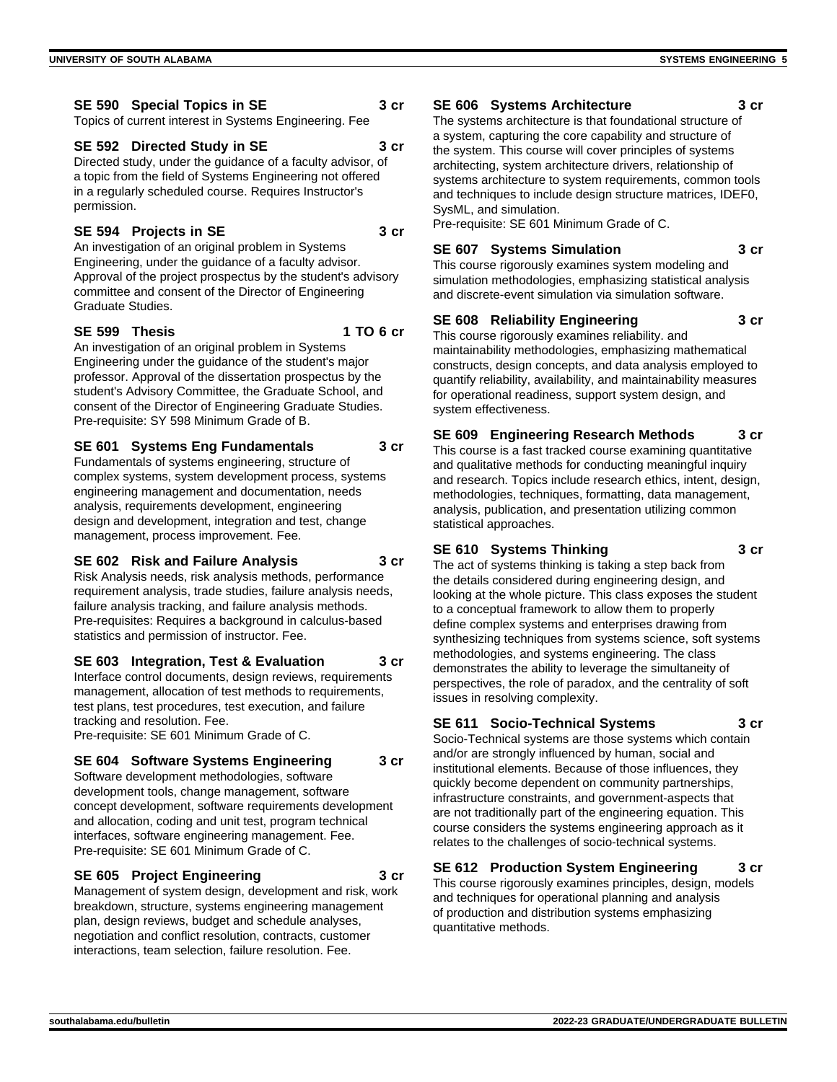Topics of current interest in Systems Engineering. Fee

## **SE 592 Directed Study in SE 3 cr**

Directed study, under the guidance of a faculty advisor, of a topic from the field of Systems Engineering not offered in a regularly scheduled course. Requires Instructor's permission.

## **SE 594 Projects in SE 3 cr**

An investigation of an original problem in Systems Engineering, under the guidance of a faculty advisor. Approval of the project prospectus by the student's advisory committee and consent of the Director of Engineering Graduate Studies.

### **SE 599 Thesis 1 TO 6 cr**

An investigation of an original problem in Systems Engineering under the guidance of the student's major professor. Approval of the dissertation prospectus by the student's Advisory Committee, the Graduate School, and consent of the Director of Engineering Graduate Studies. Pre-requisite: SY 598 Minimum Grade of B.

## **SE 601 Systems Eng Fundamentals 3 cr**

Fundamentals of systems engineering, structure of complex systems, system development process, systems engineering management and documentation, needs analysis, requirements development, engineering design and development, integration and test, change management, process improvement. Fee.

## **SE 602 Risk and Failure Analysis 3 cr**

Risk Analysis needs, risk analysis methods, performance requirement analysis, trade studies, failure analysis needs, failure analysis tracking, and failure analysis methods. Pre-requisites: Requires a background in calculus-based statistics and permission of instructor. Fee.

## **SE 603 Integration, Test & Evaluation 3 cr**

Interface control documents, design reviews, requirements management, allocation of test methods to requirements, test plans, test procedures, test execution, and failure tracking and resolution. Fee. Pre-requisite: SE 601 Minimum Grade of C.

## **SE 604 Software Systems Engineering 3 cr**

Software development methodologies, software development tools, change management, software concept development, software requirements development and allocation, coding and unit test, program technical interfaces, software engineering management. Fee. Pre-requisite: SE 601 Minimum Grade of C.

## **SE 605 Project Engineering 3 cr**

Management of system design, development and risk, work breakdown, structure, systems engineering management plan, design reviews, budget and schedule analyses, negotiation and conflict resolution, contracts, customer interactions, team selection, failure resolution. Fee.

## **SE 606 Systems Architecture 3 cr**

The systems architecture is that foundational structure of a system, capturing the core capability and structure of the system. This course will cover principles of systems architecting, system architecture drivers, relationship of systems architecture to system requirements, common tools and techniques to include design structure matrices, IDEF0, SysML, and simulation.

Pre-requisite: SE 601 Minimum Grade of C.

## **SE 607 Systems Simulation 3 cr**

This course rigorously examines system modeling and simulation methodologies, emphasizing statistical analysis and discrete-event simulation via simulation software.

## **SE 608 Reliability Engineering 3 cr**

This course rigorously examines reliability. and maintainability methodologies, emphasizing mathematical constructs, design concepts, and data analysis employed to quantify reliability, availability, and maintainability measures for operational readiness, support system design, and system effectiveness.

## **SE 609 Engineering Research Methods 3 cr**

This course is a fast tracked course examining quantitative and qualitative methods for conducting meaningful inquiry and research. Topics include research ethics, intent, design, methodologies, techniques, formatting, data management, analysis, publication, and presentation utilizing common statistical approaches.

## **SE 610 Systems Thinking 3 cr**

The act of systems thinking is taking a step back from the details considered during engineering design, and looking at the whole picture. This class exposes the student to a conceptual framework to allow them to properly define complex systems and enterprises drawing from synthesizing techniques from systems science, soft systems methodologies, and systems engineering. The class demonstrates the ability to leverage the simultaneity of perspectives, the role of paradox, and the centrality of soft issues in resolving complexity.

## **SE 611 Socio-Technical Systems 3 cr**

Socio-Technical systems are those systems which contain and/or are strongly influenced by human, social and institutional elements. Because of those influences, they quickly become dependent on community partnerships, infrastructure constraints, and government-aspects that are not traditionally part of the engineering equation. This course considers the systems engineering approach as it relates to the challenges of socio-technical systems.

## **SE 612 Production System Engineering 3 cr**

This course rigorously examines principles, design, models and techniques for operational planning and analysis of production and distribution systems emphasizing quantitative methods.